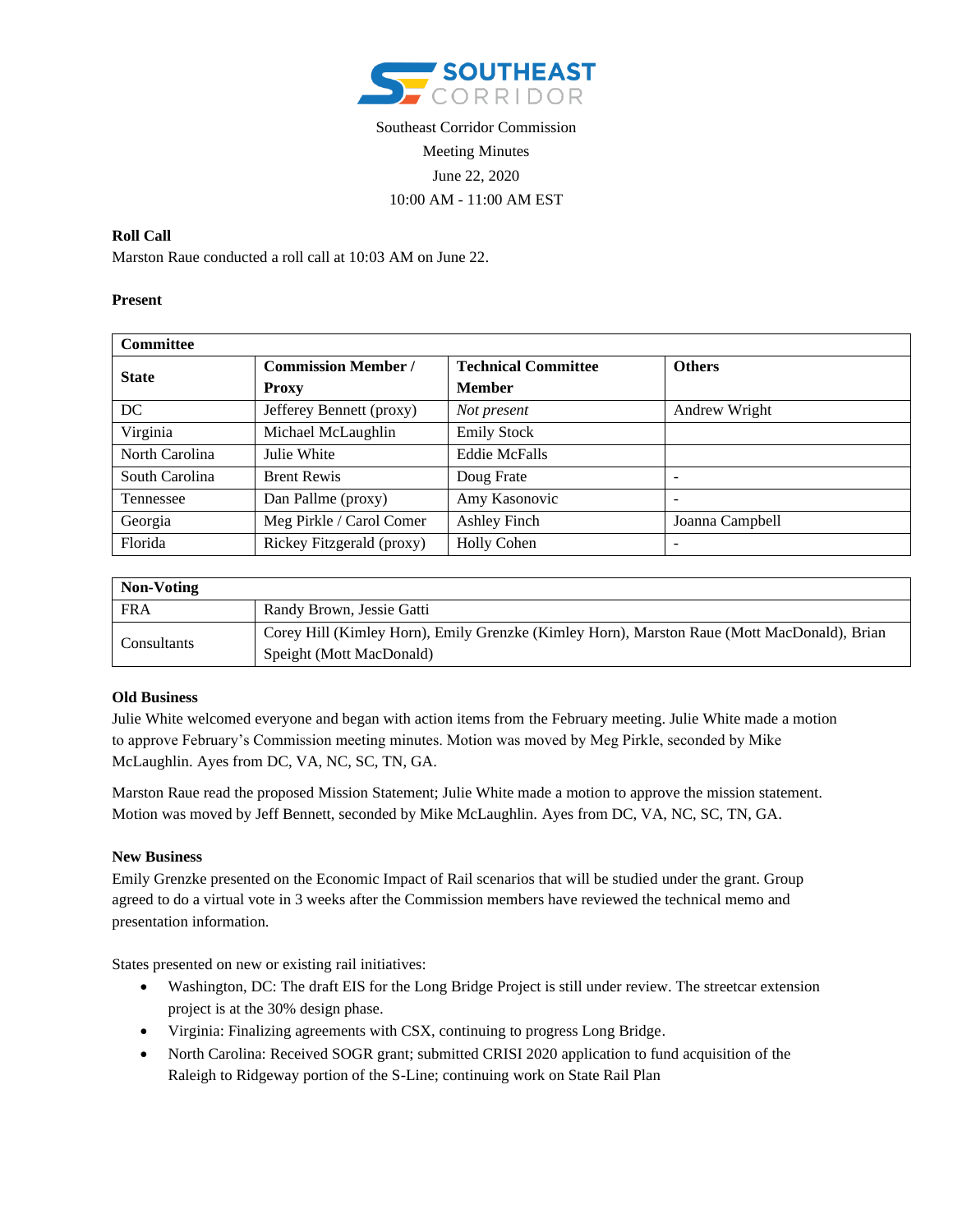

# Southeast Corridor Commission Meeting Minutes June 22, 2020 10:00 AM - 11:00 AM EST

### **Roll Call**

Marston Raue conducted a roll call at 10:03 AM on June 22.

#### **Present**

| <b>Committee</b> |                            |                            |                 |
|------------------|----------------------------|----------------------------|-----------------|
| <b>State</b>     | <b>Commission Member /</b> | <b>Technical Committee</b> | <b>Others</b>   |
|                  | <b>Proxy</b>               | <b>Member</b>              |                 |
| DC               | Jefferey Bennett (proxy)   | Not present                | Andrew Wright   |
| Virginia         | Michael McLaughlin         | <b>Emily Stock</b>         |                 |
| North Carolina   | Julie White                | <b>Eddie McFalls</b>       |                 |
| South Carolina   | <b>Brent Rewis</b>         | Doug Frate                 | -               |
| Tennessee        | Dan Pallme (proxy)         | Amy Kasonovic              | -               |
| Georgia          | Meg Pirkle / Carol Comer   | <b>Ashley Finch</b>        | Joanna Campbell |
| Florida          | Rickey Fitzgerald (proxy)  | <b>Holly Cohen</b>         | -               |

| Non-Voting  |                                                                                                                         |  |  |
|-------------|-------------------------------------------------------------------------------------------------------------------------|--|--|
| FRA         | Randy Brown, Jessie Gatti                                                                                               |  |  |
| Consultants | Corey Hill (Kimley Horn), Emily Grenzke (Kimley Horn), Marston Raue (Mott MacDonald), Brian<br>Speight (Mott MacDonald) |  |  |

## **Old Business**

Julie White welcomed everyone and began with action items from the February meeting. Julie White made a motion to approve February's Commission meeting minutes. Motion was moved by Meg Pirkle, seconded by Mike McLaughlin. Ayes from DC, VA, NC, SC, TN, GA.

Marston Raue read the proposed Mission Statement; Julie White made a motion to approve the mission statement. Motion was moved by Jeff Bennett, seconded by Mike McLaughlin. Ayes from DC, VA, NC, SC, TN, GA.

#### **New Business**

Emily Grenzke presented on the Economic Impact of Rail scenarios that will be studied under the grant. Group agreed to do a virtual vote in 3 weeks after the Commission members have reviewed the technical memo and presentation information.

States presented on new or existing rail initiatives:

- Washington, DC: The draft EIS for the Long Bridge Project is still under review. The streetcar extension project is at the 30% design phase.
- Virginia: Finalizing agreements with CSX, continuing to progress Long Bridge.
- North Carolina: Received SOGR grant; submitted CRISI 2020 application to fund acquisition of the Raleigh to Ridgeway portion of the S-Line; continuing work on State Rail Plan